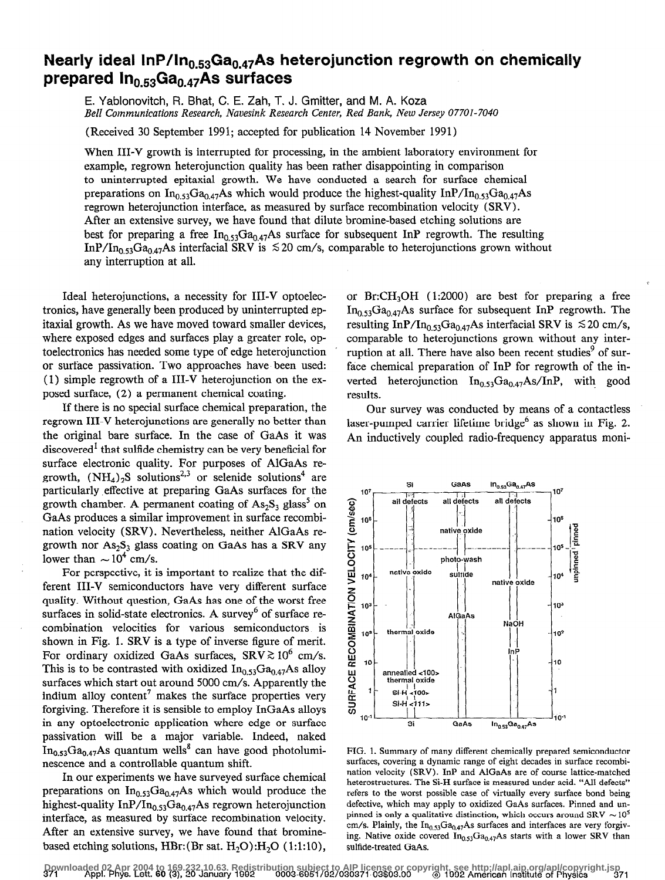## Nearly ideal InP/In<sub>0.53</sub> Ga<sub>0.47</sub> As heterojunction regrowth on chemically prepared  $In_{0.53}$ Ga $_{0.47}$ As surfaces

E. Yablonovitch, R. Bhat, C. E. Zah, T. J. Gmitter, and M. A. Koza Bell Communications Research, Navesink Research Center, Red Bank, New Jersey 07701-7040

(Received 30 September 1991; accepted for publication 14 November 1991)

When III-V growth is interrupted for processing, in the ambient laboratory environment for example, regrown heterojunction quality has been rather disappointing in comparison to uninterrupted epitaxial growth. We have conducted a search for surface chemical preparations on  $In_{0.53}Ga_{0.47}As$  which would produce the highest-quality InP/In<sub>0.53</sub>Ga<sub>0.47</sub>As regrown heterojunction interface, as measured by surface recombination velocity (SRV) . After an extensive survey, we have found that dilute bromine-based etching solutions are best for preparing a free  $In_{0.53}Ga_{0.47}As$  surface for subsequent InP regrowth. The resulting InP/In<sub>0.53</sub>Ga<sub>0.47</sub>As interfacial SRV is  $\leq 20$  cm/s, comparable to heterojunctions grown without any interruption at all.

where exposed edges and surfaces play a greater role, op-<br>comparable to heterojunctions grown without any intertoelectronics has needed some type of edge heterojunction ruption at all. There have also been recent studies<sup>9</sup> of suror surface passivation. Two approaches have been used: face chemical preparation of InP for regrowth of the in- (1) simple regrowth of a III-V heterojunction on the ex- verted heterojunction  $In_{0.53}Ga_{0.47}As/InP$ , with good posed surface, (2) a permanent chemical coating. results.

If there is no special surface chemical preparation, the regrown III-V heterojunctions are generally no better than the original bare surface. In the case of GaAs it was discovered' that sulfide chemistry can be very beneficial for surface electronic quality. For purposes of AlGaAs regrowth,  $(NH_4)_2S$  solutions<sup>2,3</sup> or selenide solutions<sup>4</sup> are particularly .effective at preparing GaAs surfaces for the growth chamber. A permanent coating of  $As_2S_3$  glass<sup>5</sup> on GaAs produces a similar improvement in surface recombination velocity (SRV). Nevertheless, neither AlGaAs regrowth nor  $As_2S_3$  glass coating on GaAs has a SRV any lower than  $\sim 10^4$  cm/s.

For perspective, it is important to realize that the different III-V semiconductors have very different surface quality. Without question, GaAs has one of the worst free surfaces in solid-state electronics. A survey<sup>6</sup> of surface recombination velocities for various semiconductors is shown in Fig. 1. SRV is a type of inverse figure of merit. For ordinary oxidized GaAs surfaces,  $SRV \gtrsim 10^6$  cm/s. This is to be contrasted with oxidized  $In<sub>0.53</sub>Ga<sub>0.47</sub>As$  alloy surfaces which start out around 5000 cm/s. Apparently the indium alloy content<sup>7</sup> makes the surface properties very forgiving. Therefore it is sensible to employ InGaAs alloys in any optoelectronic application where edge or surface passivation will be a major variable. Indeed, naked  $In<sub>0.53</sub>Ga<sub>0.47</sub>As quantum wells<sup>8</sup> can have good photolumi$ nescence and a controllable quantum shift.

In our experiments we have surveyed surface chemical preparations on  $In<sub>0.53</sub>Ga<sub>0.47</sub>As which would produce the$ highest-quality InP/In<sub>0.53</sub>Ga<sub>0.47</sub>As regrown heterojunction interface, as measured by surface recombination velocity. After an extensive survey, we have found that brominebased etching solutions, HBr:  $(Br \text{ sat. H}_2O)$ :  $H_2O$  (1:1:10),

Ideal heterojunctions, a necessity for III-V optoelec- or  $Br:CH<sub>3</sub>OH$  (1:2000) are best for preparing a free tronics, have generally been produced by uninterrupted ep-  $\text{In}_{0.53}\text{Ga}_{0.47}\text{As}$  surface for subsequent InP regrowth. The itaxial growth. As we have moved toward smaller devices, resulting InP/In<sub>0.53</sub>Ga<sub>0.47</sub>As interfacial SRV is  $\leq 20$  cm/s,

> Our survey was conducted by means of a contactless laser-pumped carrier lifetime bridge $<sup>6</sup>$  as shown in Fig. 2.</sup> An inductively coupled radio-frequency apparatus moni-



FIG. 1. Summary of many different chemically prepared semiconductor surfaces, covering a dynamic range of eight decades in surface recombination velocity (SRV). InP and AlGaAs are of course lattice-matched heterostructures. The Si-H surface is measured under acid. "All defects" refers to the worst possible case of virtually every surface bond being defective, which may apply to oxidized GaAs surfaces. Pinned and unpinned is only a qualitative distinction, which occurs around SRV  $\sim$  10<sup>5</sup> cm/s. Plainly, the  $In<sub>0.53</sub>Ga<sub>0.47</sub>As surfaces and interfaces are very forgiv$ ing. Native oxide covered  $In<sub>0.53</sub>Ga<sub>0.47</sub>As starts with a lower SRV than$ sulfide-treated GaAs.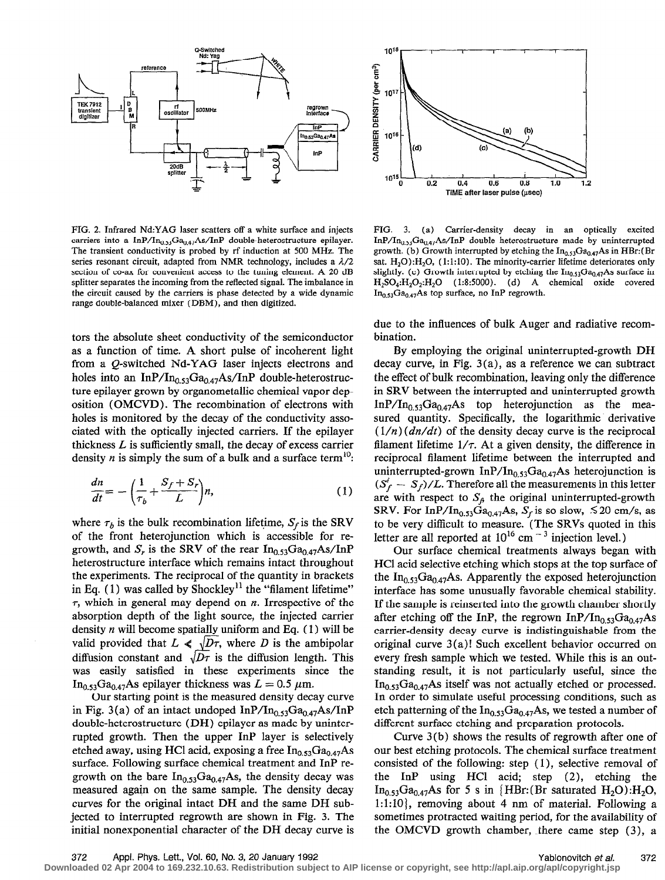

FrG. 2. Infrared Nd:YAG laser scatters off a white surface and injects carriers into a InP/In<sub>0.53</sub>Ga<sub>0.47</sub>As/InP double-heterostructure epilayer. The transient conductivity is probed by rf induction at 500 MHz. The series resonant circuit, adapted from NMR technology, includes a  $\lambda/2$ section of co-ax for convenient access to the tuning element. A 20 dB splitter separates the incoming from the reflected signal. The imbalance in the circuit caused by the carriers is phase detected by a wide dynamic range double-balanced mixer (DBM), and then digitized.

tors the absolute sheet conductivity of the semiconductor as a function of time. A short pulse of incoherent light from a Q-switched Nd-YAG laser injects electrons and holes into an InP/In<sub>0.53</sub>Ga<sub>0.47</sub>As/InP double-heterostructure epilayer grown by organometallic chemical vapor deposition (OMCVD). The recombination of electrons with holes is monitored by the decay of the conductivity associated with the optically injected carriers. If the epilayer thickness  $L$  is sufficiently small, the decay of excess carrier density *n* is simply the sum of a bulk and a surface term<sup>10</sup>:

$$
\frac{dn}{dt} = -\left(\frac{1}{\tau_b} + \frac{S_f + S_r}{L}\right)n,\tag{1}
$$

where  $\tau_b$  is the bulk recombination lifetime,  $S_f$  is the SRV of the front heterojunction which is accessible for regrowth, and  $S_r$  is the SRV of the rear  $In_{0.53}Ga_{0.47}As/InP$ heterostructure interface which remains intact throughout the experiments. The reciprocal of the quantity in brackets in Eq.  $(1)$  was called by Shockley<sup>11</sup> the "filament lifetime"  $\tau$ , which in general may depend on  $n$ . Irrespective of the absorption depth of the light source, the injected carrier density  $n$  will become spatially uniform and Eq. (1) will be valid provided that  $L \ll \sqrt{D\tau}$ , where D is the ambipolar diffusion constant and  $\sqrt{D\tau}$  is the diffusion length. This was easily satisfied in these experiments since the In<sub>0.53</sub>Ga<sub>0.47</sub>As epilayer thickness was  $L = 0.5 \mu m$ .

Our starting point is the measured density decay curve in Fig. 3(a) of an intact undoped  $InP/In<sub>0.53</sub>Ga<sub>0.47</sub>As/InP$ double-heterostructure (DH) epilayer as made by uninterrupted growth. Then the upper InP layer is selectively etched away, using HCl acid, exposing a free  $In_{0.53}Ga_{0.47}As$ surface. Following surface chemical treatment and InP regrowth on the bare  $In_{0.53}Ga_{0.47}As$ , the density decay was measured again on the same sample. The density decay curves for the original intact DH and the same DH subjected to interrupted regrowth are shown in Fig. 3. The initial nonexponential character of the DH decay curve is





FIG. 3. (a) Carrier-density decay in an optically excited InP/In<sub>0.53</sub>Ga<sub>0.47</sub>As/InP double heterostructure made by uninterrupted growth. (b) Growth interrupted by etching the  $In_{0.53}Ga_{0.47}As$  in HBr:(Br sat.  $H_2O$ :  $H_2O$ , (1:1:10). The minority-carrier lifetime deteriorates only slightly. (c) Growth interrupted by etching the  $In_{0.53}Ga_{0.47}As$  surface in  $H_2SO_4:H_2O_2:H_2O$  (1:8:5000). (d) A chemical oxide covered  $In_{0.53}Ga_{0.47}As$  top surface, no InP regrowth.

due to the influences of bulk Auger and radiative recombination.

By employing the original uninterrupted-growth DH decay curve, in Fig.  $3(a)$ , as a reference we can subtract the effect of bulk recombination, leaving only the difference in SRV between the interrupted and uninterrupted growth  $InP/In<sub>0.53</sub>Ga<sub>0.47</sub>As$  top heterojunction as the measured quantity. Specifically, the logarithmic derivative  $(1/n)(dn/dt)$  of the density decay curve is the reciprocal filament lifetime  $1/\tau$ . At a given density, the difference in reciprocal filament lifetime between the interrupted and uninterrupted-grown InP/In<sub>0.53</sub>Ga<sub>0.47</sub>As heterojunction is  $(S_f^i - S_f)/L$ . Therefore all the measurements in this letter are with respect to  $S_f$ , the original uninterrupted-growth SRV. For InP/In<sub>0.53</sub>Ga<sub>0.47</sub>As, S<sub>f</sub> is so slow,  $\lesssim$  20 cm/s, as to be very difficult to measure. (The SRVs quoted in this letter are all reported at  $10^{10}$  cm  $^{-3}$  injection level.)

Our surface chemical treatments aIways began with HCl acid selective etching which stops at the top surface of the  $In<sub>0.53</sub>Ga<sub>0.47</sub>As. Apparently the exposed heterojunction$ interface has some unusually favorable chemical stability. If the sample is reinserted into the growth chamber shortly after etching off the InP, the regrown InP/In<sub>0.53</sub>Ga<sub>0.47</sub>As carrier-density decay curve is indistinguishable from the original curve  $3(a)!$  Such excellent behavior occurred on every fresh sample which we tested. While this is an outstanding result, it is not particularly useful, since the  $In_{0.53}Ga_{0.47}As$  itself was not actually etched or processed. In order to simulate useful processing conditions, such as etch patterning of the  $In_{0.53}Ga_{0.47}As$ , we tested a number of different surface etching and preparation protocols.

Curve 3(b) shows the results of regrowth after one of our best etching protocols. The chemical surface treatment consisted of the following: step (1), selective removal of the InP using HCl acid; step (2), etching the  $In_{0.53}Ga_{0.47}As$  for 5 s in {HBr: (Br saturated H<sub>2</sub>O):H<sub>2</sub>O, 1:1:10}, removing about 4 nm of material. Following a sometimes protracted waiting period, for the availability of the OMCVD growth chamber, there came step (3), a